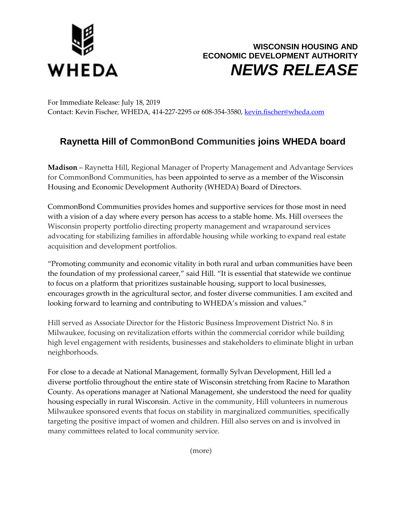



For Immediate Release: July 18, 2019 Contact: Kevin Fischer, WHEDA, 414-227-2295 or 608-354-3580[, kevin.fischer@wheda.com](about:blank)

## **Raynetta Hill of CommonBond Communities joins WHEDA board**

**Madison** – Raynetta Hill, Regional Manager of Property Management and Advantage Services for CommonBond Communities, has been appointed to serve as a member of the Wisconsin Housing and Economic Development Authority (WHEDA) Board of Directors.

CommonBond Communities provides homes and supportive services for those most in need with a vision of a day where every person has access to a stable home. Ms. Hill oversees the Wisconsin property portfolio directing property management and wraparound services advocating for stabilizing families in affordable housing while working to expand real estate acquisition and development portfolios.

"Promoting community and economic vitality in both rural and urban communities have been the foundation of my professional career," said Hill. "It is essential that statewide we continue to focus on a platform that prioritizes sustainable housing, support to local businesses, encourages growth in the agricultural sector, and foster diverse communities. I am excited and looking forward to learning and contributing to WHEDA's mission and values."

Hill served as Associate Director for the Historic Business Improvement District No. 8 in Milwaukee, focusing on revitalization efforts within the commercial corridor while building high level engagement with residents, businesses and stakeholders to eliminate blight in urban neighborhoods.

For close to a decade at National Management, formally Sylvan Development, Hill led a diverse portfolio throughout the entire state of Wisconsin stretching from Racine to Marathon County. As operations manager at National Management, she understood the need for quality housing especially in rural Wisconsin. Active in the community, Hill volunteers in numerous Milwaukee sponsored events that focus on stability in marginalized communities, specifically targeting the positive impact of women and children. Hill also serves on and is involved in many committees related to local community service.

(more)